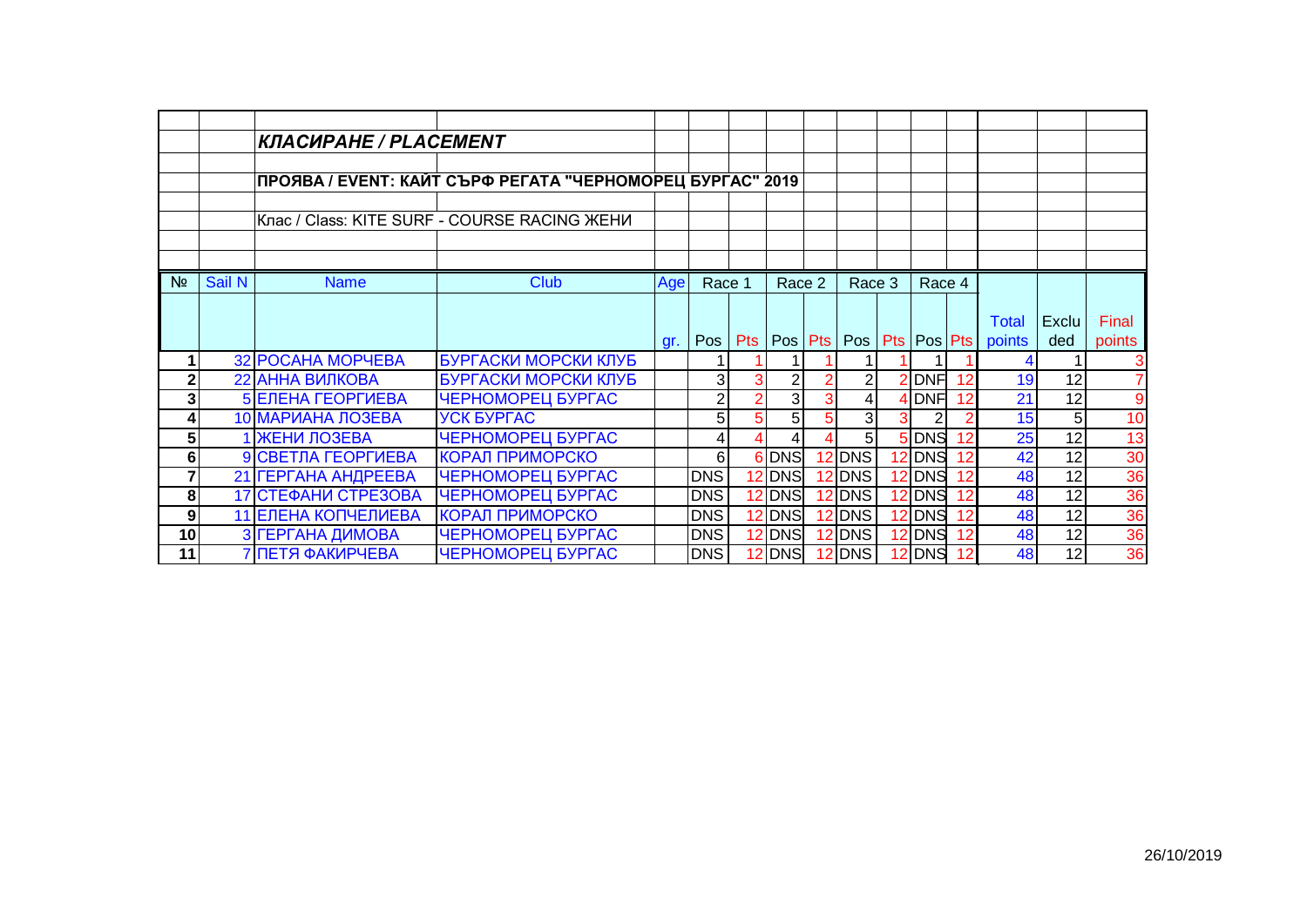|                         |        | КЛАСИРАНЕ / PLACEMENT |                                                           |     |                |   |                 |                |                 |    |              |                 |                |
|-------------------------|--------|-----------------------|-----------------------------------------------------------|-----|----------------|---|-----------------|----------------|-----------------|----|--------------|-----------------|----------------|
|                         |        |                       |                                                           |     |                |   |                 |                |                 |    |              |                 |                |
|                         |        |                       | ПРОЯВА / EVENT: КАЙТ СЪРФ РЕГАТА "ЧЕРНОМОРЕЦ БУРГАС" 2019 |     |                |   |                 |                |                 |    |              |                 |                |
|                         |        |                       | Клас / Class: KITE SURF - COURSE RACING ЖЕНИ              |     |                |   |                 |                |                 |    |              |                 |                |
|                         |        |                       |                                                           |     |                |   |                 |                |                 |    |              |                 |                |
|                         |        |                       |                                                           |     |                |   |                 |                |                 |    |              |                 |                |
| N <sub>2</sub>          | Sail N | <b>Name</b>           | <b>Club</b>                                               | Age | Race 1         |   | Race 2          | Race 3         | Race 4          |    |              |                 |                |
|                         |        |                       |                                                           |     |                |   |                 |                |                 |    |              |                 |                |
|                         |        |                       |                                                           |     |                |   |                 |                |                 |    | <b>Total</b> | <b>Exclu</b>    | Final          |
|                         |        |                       |                                                           | gr. | Pos            |   | Pts   Pos   Pts | Pos            | Pts   Pos   Pts |    | points       | ded             | points         |
|                         |        | 32 POCAHA MOPYEBA     | БУРГАСКИ МОРСКИ КЛУБ                                      |     |                |   |                 |                |                 |    |              |                 | 3              |
| $\mathbf{2}$            |        | 22 АННА ВИЛКОВА       | БУРГАСКИ МОРСКИ КЛУБ                                      |     | 3              |   | 2               |                | 2 DNF           | 12 | 19           | 12              | $\overline{7}$ |
| 3 <sub>l</sub>          |        | 5 ЕЛЕНА ГЕОРГИЕВА     | ЧЕРНОМОРЕЦ БУРГАС                                         |     | $\overline{2}$ |   | 3 <sup>1</sup>  |                | <b>DNF</b>      | 12 | 21           | 12              | $\overline{9}$ |
| 4                       |        | 10 МАРИАНА ЛОЗЕВА     | <b><i>YCK EYPFAC</i></b>                                  |     | 5              | 5 | 5 <sub>l</sub>  | 3              |                 |    | 15           | 5 <sub>l</sub>  | 10             |
| $\overline{\mathbf{5}}$ |        | 1 ЖЕНИ ЛОЗЕВА         | ЧЕРНОМОРЕЦ БУРГАС                                         |     | 4              |   | $\overline{4}$  | 5 <sup>1</sup> | 5 DNS           | 12 | 25           | 12              | 13             |
| 6                       |        | 9 СВЕТЛА ГЕОРГИЕВА    | КОРАЛ ПРИМОРСКО                                           |     | 6 <sup>1</sup> |   | 6 DNS           | 12 DNS         | 12 DNS          | 12 | 42           | 12              | 30             |
| 7                       |        | 21 ГЕРГАНА АНДРЕЕВА   | ЧЕРНОМОРЕЦ БУРГАС                                         |     | <b>DNS</b>     |   | 12 DNS          | $12$ DNS       | 12 DNS          | 12 | 48           | $\overline{12}$ | 36             |
| 8                       |        | 17 СТЕФАНИ СТРЕЗОВА   | ЧЕРНОМОРЕЦ БУРГАС                                         |     | DNS            |   | 12 DNS          | $12$ DNS       | 12 DNS          | 12 | 48           | 12              | 36             |
| 9                       |        | 11 ЕЛЕНА КОПЧЕЛИЕВА   | <b>КОРАЛ ПРИМОРСКО</b>                                    |     | <b>DNS</b>     |   | 12 DNS          | $12$ DNS       | 12 DNS          | 12 | 48           | 12              | 36             |
| 10 <sup>1</sup>         |        | З ГЕРГАНА ДИМОВА      | ЧЕРНОМОРЕЦ БУРГАС                                         |     | DNS            |   | 2 DNS           | $12$ DNS       | 12 DNS          | 12 | 48           | 12              | 36             |
| 11                      |        | 7 ПЕТЯ ФАКИРЧЕВА      | <b>ЧЕРНОМОРЕЦ БУРГАС</b>                                  |     | DNS            |   | 2 DNS           | 12 DNS         | 12 DNS          |    | 48           | 12              | 36             |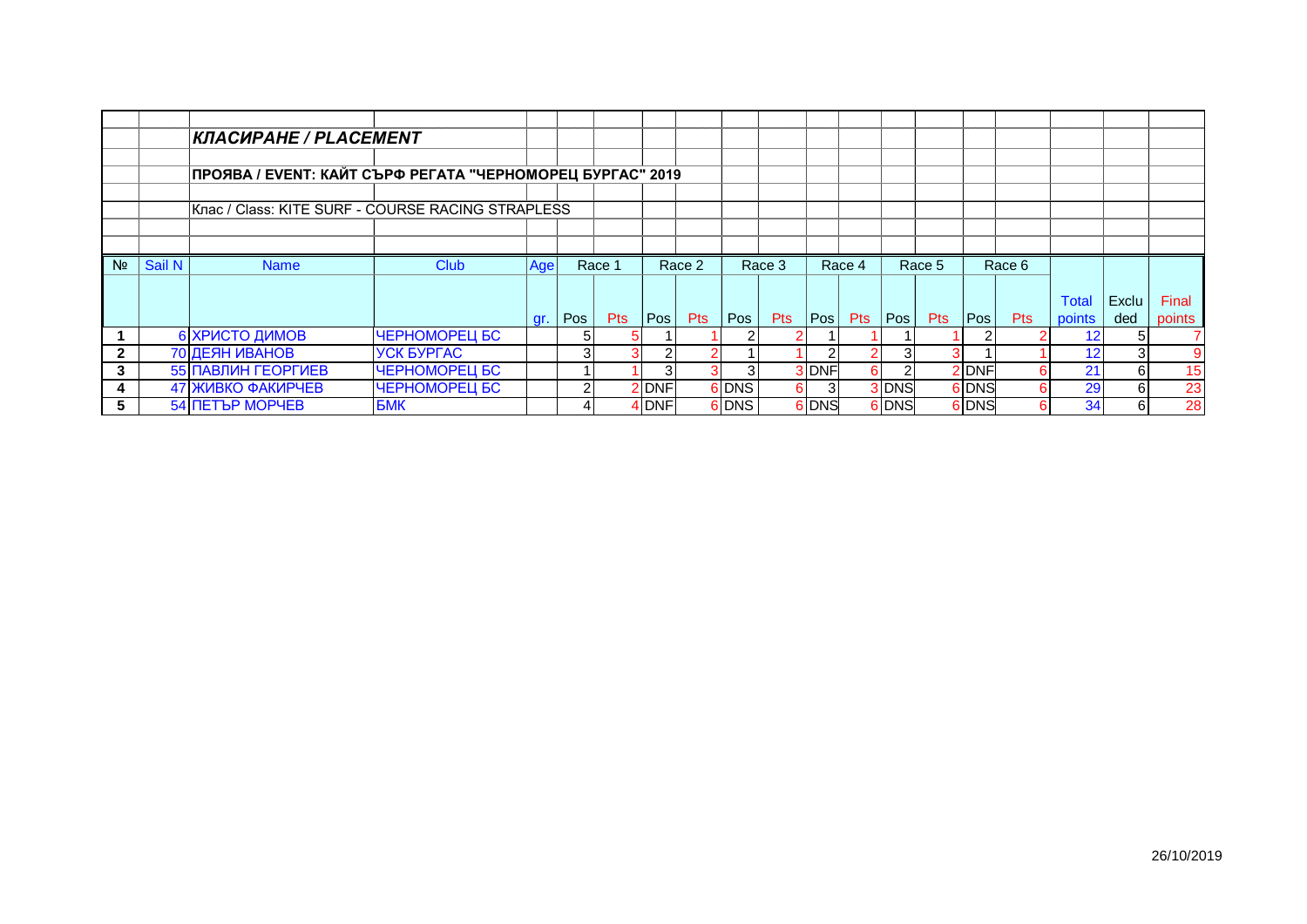|              |        | <b>КЛАСИРАНЕ / PLACEMENT</b>                              |                          |     |     |            |       |        |       |            |       |            |       |         |       |            |        |       |        |
|--------------|--------|-----------------------------------------------------------|--------------------------|-----|-----|------------|-------|--------|-------|------------|-------|------------|-------|---------|-------|------------|--------|-------|--------|
|              |        |                                                           |                          |     |     |            |       |        |       |            |       |            |       |         |       |            |        |       |        |
|              |        | ПРОЯВА / EVENT: КАЙТ СЪРФ РЕГАТА "ЧЕРНОМОРЕЦ БУРГАС" 2019 |                          |     |     |            |       |        |       |            |       |            |       |         |       |            |        |       |        |
|              |        |                                                           |                          |     |     |            |       |        |       |            |       |            |       |         |       |            |        |       |        |
|              |        | Клас / Class: KITE SURF - COURSE RACING STRAPLESS         |                          |     |     |            |       |        |       |            |       |            |       |         |       |            |        |       |        |
|              |        |                                                           |                          |     |     |            |       |        |       |            |       |            |       |         |       |            |        |       |        |
|              |        |                                                           |                          |     |     |            |       |        |       |            |       |            |       |         |       |            |        |       |        |
| Nº.          | Sail N | <b>Name</b>                                               | <b>Club</b>              | Age |     | Race 1     |       | Race 2 |       | Race 3     |       | Race 4     |       | Race 5  |       | Race 6     |        |       |        |
|              |        |                                                           |                          |     |     |            |       |        |       |            |       |            |       |         |       |            |        |       |        |
|              |        |                                                           |                          |     |     |            |       |        |       |            |       |            |       |         |       |            | Total  | Exclu | Final  |
|              |        |                                                           |                          | gr. | Pos | <b>Pts</b> | Pos   | Pts    | Pos   | <b>Pts</b> | Pos   | <b>Pts</b> |       | Pos Pts | Pos   | <b>Pts</b> | points | ded   | points |
|              |        | 6 ХРИСТО ДИМОВ                                            | ЧЕРНОМОРЕЦ БС            |     |     | 5          |       |        |       |            |       |            |       |         |       |            |        |       |        |
| $\mathbf{2}$ |        | 70 ДЕЯН ИВАНОВ                                            | <b><i>YCK EYPFAC</i></b> |     |     |            |       |        |       |            |       |            |       | з.      |       |            |        |       | 9      |
| 3            |        | 55 ПАВЛИН ГЕОРГИЕВ                                        | ЧЕРНОМОРЕЦ БС            |     |     |            |       |        |       |            | 3 DNF | 61         |       |         | 2 DNF |            | 21     | 6     | 15     |
| 4            |        | 47 ЖИВКО ФАКИРЧЕВ                                         | ЧЕРНОМОРЕЦ БС            |     |     |            | 2 DNF |        | 6 DNS | 61         | 3I    |            | 3 DNS |         | 6 DNS |            | 29     | 61    | 23     |
| 5.           |        | <b>54 ПЕТЪР МОРЧЕВ</b>                                    | <b>BMK</b>               |     |     |            | 4 DNF |        | 6 DNS |            | 6 DNS |            | 6 DNS |         | 6 DNS |            | 34     | 61    | 28     |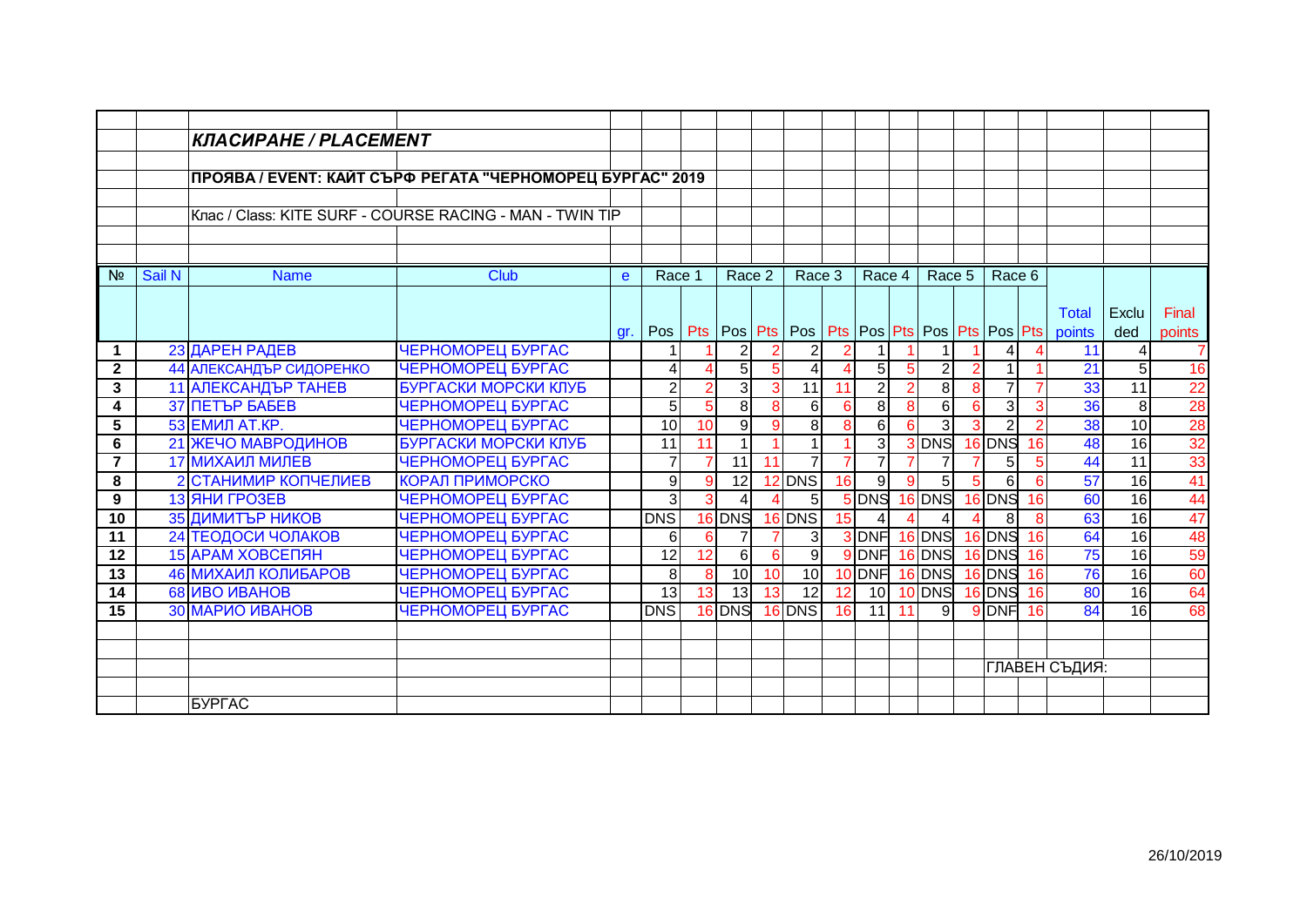|                 |        | КЛАСИРАНЕ / PLACEMENT   |                                                           |     |                  |    |                 |                |                                               |                 |                |                |                |   |                |     |                 |                 |        |
|-----------------|--------|-------------------------|-----------------------------------------------------------|-----|------------------|----|-----------------|----------------|-----------------------------------------------|-----------------|----------------|----------------|----------------|---|----------------|-----|-----------------|-----------------|--------|
|                 |        |                         |                                                           |     |                  |    |                 |                |                                               |                 |                |                |                |   |                |     |                 |                 |        |
|                 |        |                         | ПРОЯВА / EVENT: КАЙТ СЪРФ РЕГАТА "ЧЕРНОМОРЕЦ БУРГАС" 2019 |     |                  |    |                 |                |                                               |                 |                |                |                |   |                |     |                 |                 |        |
|                 |        |                         |                                                           |     |                  |    |                 |                |                                               |                 |                |                |                |   |                |     |                 |                 |        |
|                 |        |                         | Клас / Class: KITE SURF - COURSE RACING - MAN - TWIN TIP  |     |                  |    |                 |                |                                               |                 |                |                |                |   |                |     |                 |                 |        |
|                 |        |                         |                                                           |     |                  |    |                 |                |                                               |                 |                |                |                |   |                |     |                 |                 |        |
|                 |        |                         |                                                           |     |                  |    |                 |                |                                               |                 |                |                |                |   |                |     |                 |                 |        |
| N <sub>2</sub>  | Sail N | <b>Name</b>             | <b>Club</b>                                               | e   | Race 1           |    | Race 2          |                | Race 3                                        |                 | Race 4         |                | Race 5         |   | Race 6         |     |                 |                 |        |
|                 |        |                         |                                                           |     |                  |    |                 |                |                                               |                 |                |                |                |   |                |     |                 |                 |        |
|                 |        |                         |                                                           |     |                  |    |                 |                |                                               |                 |                |                |                |   |                |     | <b>Total</b>    | Exclu           | Final  |
|                 |        |                         |                                                           | gr. | Pos              |    | Pts   Pos   Pts |                | Pos   Pts   Pos   Pts   Pos   Pts   Pos   Pts |                 |                |                |                |   |                |     | points          | ded             | points |
| 1               |        | 23 ДАРЕН РАДЕВ          | ЧЕРНОМОРЕЦ БУРГАС                                         |     |                  |    | $\overline{2}$  | $\overline{2}$ | $\overline{2}$                                | $\overline{2}$  |                |                |                |   | 4              |     | 11              | 4               | 7      |
| $\mathbf{2}$    |        | 44 АЛЕКСАНДЪР СИДОРЕНКО | ЧЕРНОМОРЕЦ БУРГАС                                         |     | 4                | Δ  | 5               | 5              | 4                                             |                 | 5 <sup>5</sup> | 5              | $\overline{2}$ |   |                |     | $\overline{21}$ | 5 <sup>1</sup>  | 16     |
| 3               |        | 11 АЛЕКСАНДЪР ТАНЕВ     | БУРГАСКИ МОРСКИ КЛУБ                                      |     | $\overline{2}$   | 2  | 3               | 3              | 11                                            | 11              | $\overline{2}$ | $\overline{2}$ | 8 <sup>1</sup> | 8 |                |     | 33              | 11              | 22     |
| 4               |        | <b>37 ПЕТЪР БАБЕВ</b>   | <b>ЧЕРНОМОРЕЦ БУРГАС</b>                                  |     | $\overline{5}$   | 5  | 8               | 8              | 6                                             | 6               | 8 <sup>1</sup> | 8              | 6 <sup>1</sup> |   | 3              |     | 36              | 8 <sup>1</sup>  | 28     |
| 5               |        | 53 ЕМИЛ АТ.КР.          | ЧЕРНОМОРЕЦ БУРГАС                                         |     | 10               | 10 | 9               | 9              | 8                                             | 8               | 6              | 6              | $\overline{3}$ |   | 2              |     | 38              | 10 <sup>1</sup> | 28     |
| 6               |        | 21 ЖЕЧО МАВРОДИНОВ      | БУРГАСКИ МОРСКИ КЛУБ                                      |     | 11               | 11 |                 |                |                                               |                 | دى             |                | 3 DNS          |   | 16 DNS         | 16  | 48              | 16              | 32     |
| $\overline{7}$  |        | 17 МИХАИЛ МИЛЕВ         | ЧЕРНОМОРЕЦ БУРГАС                                         |     | $\overline{7}$   | 7  | 11              | 11             | $\overline{7}$                                | $\overline{7}$  | $\overline{7}$ | $\overline{7}$ | $\overline{7}$ |   | 5 <sup>1</sup> |     | 44              | $\overline{11}$ | 33     |
| 8               |        | 2 СТАНИМИР КОПЧЕЛИЕВ    | <b>КОРАЛ ПРИМОРСКО</b>                                    |     | $\overline{9}$   | 9  | 12              |                | $12$ DNS                                      | 16              | 9              | 9              | 5 <sup>1</sup> | 5 | 6              |     | 57              | 16              | 41     |
| 9               |        | 13 ЯНИ ГРОЗЕВ           | ЧЕРНОМОРЕЦ БУРГАС                                         |     | $\overline{3}$   |    | 4               |                | 5 <sup>1</sup>                                |                 | 5 DNS          |                | $16$ DNS       |   | 16 DNS         | 16  | 60              | 16              | 44     |
| 10              |        | 35 ДИМИТЪР НИКОВ        | ЧЕРНОМОРЕЦ БУРГАС                                         |     | <b>DNS</b>       |    | 16 DNS          |                | $16$ DNS                                      | 15              | $\overline{4}$ | Δ              | 4              |   | 8              |     | 63              | 16              | 47     |
| 11              |        | 24 ТЕОДОСИ ЧОЛАКОВ      | ЧЕРНОМОРЕЦ БУРГАС                                         |     | $6 \overline{6}$ | 6  | $\overline{7}$  | $\overline{7}$ | $\overline{3}$                                |                 |                |                | 3DNF 16DNS     |   | 16 DNS         | 16  | 64              | 16              | 48     |
| 12              |        | 15 АРАМ ХОВСЕПЯН        | ЧЕРНОМОРЕЦ БУРГАС                                         |     | 12               | 12 | 6               | 6              | 9                                             |                 | 9 DNF          |                | $16$ DNS       |   | 16 DNS         | 16  | 75              | 16              | 59     |
| $\overline{13}$ |        | 46 МИХАИЛ КОЛИБАРОВ     | ЧЕРНОМОРЕЦ БУРГАС                                         |     | $\overline{8}$   | 8  | 10              | 10             | 10                                            |                 | 10 DNF         |                | 16 DNS         |   | 16 DNS         | 16  | 76              | 16              | 60     |
| 14              |        | 68 ИВО ИВАНОВ           | ЧЕРНОМОРЕЦ БУРГАС                                         |     | 13               | 13 | 13              | 13             | 12                                            | 12 <sub>2</sub> |                |                | 10 10 DNS      |   | $16$ DNS       | -16 | 80              | 16              | 64     |
| $\overline{15}$ |        | <b>30 МАРИО ИВАНОВ</b>  | ЧЕРНОМОРЕЦ БУРГАС                                         |     | <b>DNS</b>       |    | 16 DNS          |                | $16$ DNS                                      | 16              | $11$ 11        |                | 9              |   | $9$ DNF        | 16  | 84              | 16              | 68     |
|                 |        |                         |                                                           |     |                  |    |                 |                |                                               |                 |                |                |                |   |                |     |                 |                 |        |
|                 |        |                         |                                                           |     |                  |    |                 |                |                                               |                 |                |                |                |   |                |     |                 |                 |        |
|                 |        |                         |                                                           |     |                  |    |                 |                |                                               |                 |                |                |                |   |                |     | ГЛАВЕН СЪДИЯ:   |                 |        |
|                 |        |                         |                                                           |     |                  |    |                 |                |                                               |                 |                |                |                |   |                |     |                 |                 |        |
|                 |        | <b>БУРГАС</b>           |                                                           |     |                  |    |                 |                |                                               |                 |                |                |                |   |                |     |                 |                 |        |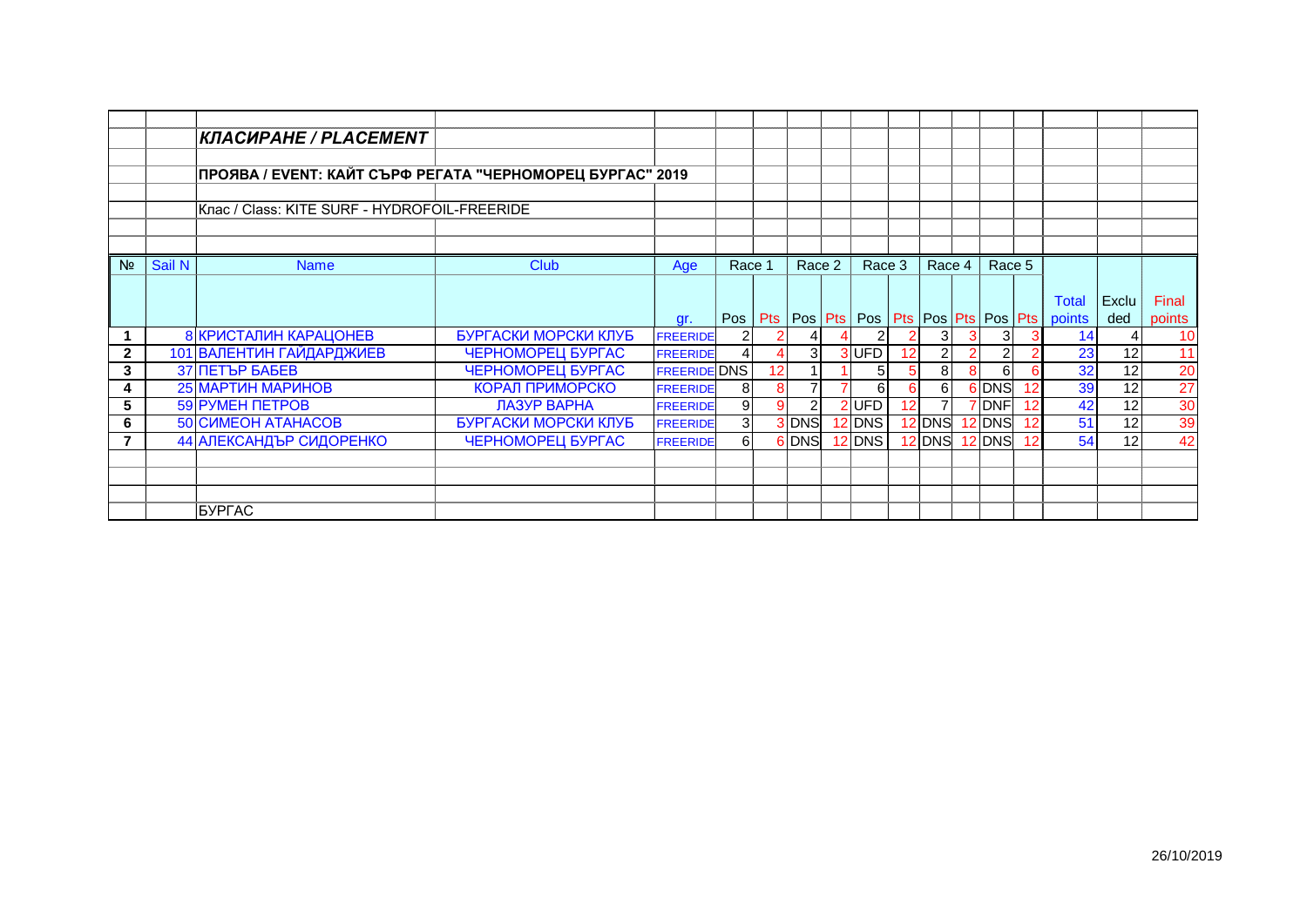|                 |        | <b>КЛАСИРАНЕ / PLACEMENT</b>                              |                        |                     |                |    |                |                |    |          |        |    |                                                                    |              |                 |
|-----------------|--------|-----------------------------------------------------------|------------------------|---------------------|----------------|----|----------------|----------------|----|----------|--------|----|--------------------------------------------------------------------|--------------|-----------------|
|                 |        |                                                           |                        |                     |                |    |                |                |    |          |        |    |                                                                    |              |                 |
|                 |        | ПРОЯВА / EVENT: КАЙТ СЪРФ РЕГАТА "ЧЕРНОМОРЕЦ БУРГАС" 2019 |                        |                     |                |    |                |                |    |          |        |    |                                                                    |              |                 |
|                 |        |                                                           |                        |                     |                |    |                |                |    |          |        |    |                                                                    |              |                 |
|                 |        | Клас / Class: KITE SURF - HYDROFOIL-FREERIDE              |                        |                     |                |    |                |                |    |          |        |    |                                                                    |              |                 |
|                 |        |                                                           |                        |                     |                |    |                |                |    |          |        |    |                                                                    |              |                 |
|                 |        |                                                           |                        |                     |                |    |                |                |    |          |        |    |                                                                    |              |                 |
| N <sub>2</sub>  | Sail N | <b>Name</b>                                               | <b>Club</b>            | Age                 | Race 1         |    | Race 2         | Race 3         |    | Race $4$ | Race 5 |    |                                                                    |              |                 |
|                 |        |                                                           |                        |                     |                |    |                |                |    |          |        |    |                                                                    |              |                 |
|                 |        |                                                           |                        |                     |                |    |                |                |    |          |        |    | <b>Total</b>                                                       | <b>Exclu</b> | Final           |
|                 |        |                                                           |                        | gr.                 |                |    |                |                |    |          |        |    | Pos   Pts   Pos   Pts   Pos   Pts   Pos   Pts   Pos   Pts   points | ded          | points          |
|                 |        | <b>8 КРИСТАЛИН КАРАЦОНЕВ</b>                              | БУРГАСКИ МОРСКИ КЛУБ   | <b>FREERIDE</b>     | 2              |    |                | 21             | 2  | 31       | 3      |    | 14                                                                 |              | 10              |
| $\mathbf{2}$    |        | 101 ВАЛЕНТИН ГАЙДАРДЖИЕВ                                  | ЧЕРНОМОРЕЦ БУРГАС      | <b>FREERIDE</b>     | 4              |    | 3 <sup>1</sup> | 3UFD           | 12 |          |        |    | 23                                                                 | 12           | 11              |
| 3               |        | <b>37 ПЕТЪР БАБЕВ</b>                                     | ЧЕРНОМОРЕЦ БУРГАС      | <b>FREERIDE DNS</b> |                | 12 |                | 5 <sub>l</sub> | 5  | 8        | 6      |    | 32                                                                 | 12           | 20              |
|                 |        | 25 МАРТИН МАРИНОВ                                         | <b>КОРАЛ ПРИМОРСКО</b> | <b>FREERIDE</b>     | 8              | 8  | $\overline{7}$ | 61             | 6  | 6        | 6 DNS  |    | 39                                                                 | 12           | 27              |
| $5\phantom{.0}$ |        | <b>59 PYMEH NETPOB</b>                                    | ЛАЗУР ВАРНА            | <b>FREERIDE</b>     | 9              |    | $\overline{2}$ | 2UFD           | 12 |          | DNF    |    | 42                                                                 | 12           | $\frac{30}{39}$ |
| 6               |        | <b>50 CUMEOH ATAHACOB</b>                                 | БУРГАСКИ МОРСКИ КЛУБ   | <b>FREERIDE</b>     | 3 <sup>l</sup> |    | 3 DNS          | $12$ DNS       |    | 12 DNS   | 12 DNS | 12 | 51                                                                 | 12           |                 |
|                 |        | 44 АЛЕКСАНДЪР СИДОРЕНКО                                   | ЧЕРНОМОРЕЦ БУРГАС      | <b>FREERIDE</b>     | 6              |    | 6 DNS          | $12$ DNS       |    | $12$ DNS | 12 DNS |    | 54                                                                 | 12           | 42              |
|                 |        |                                                           |                        |                     |                |    |                |                |    |          |        |    |                                                                    |              |                 |
|                 |        |                                                           |                        |                     |                |    |                |                |    |          |        |    |                                                                    |              |                 |
|                 |        |                                                           |                        |                     |                |    |                |                |    |          |        |    |                                                                    |              |                 |
|                 |        | <b>БУРГАС</b>                                             |                        |                     |                |    |                |                |    |          |        |    |                                                                    |              |                 |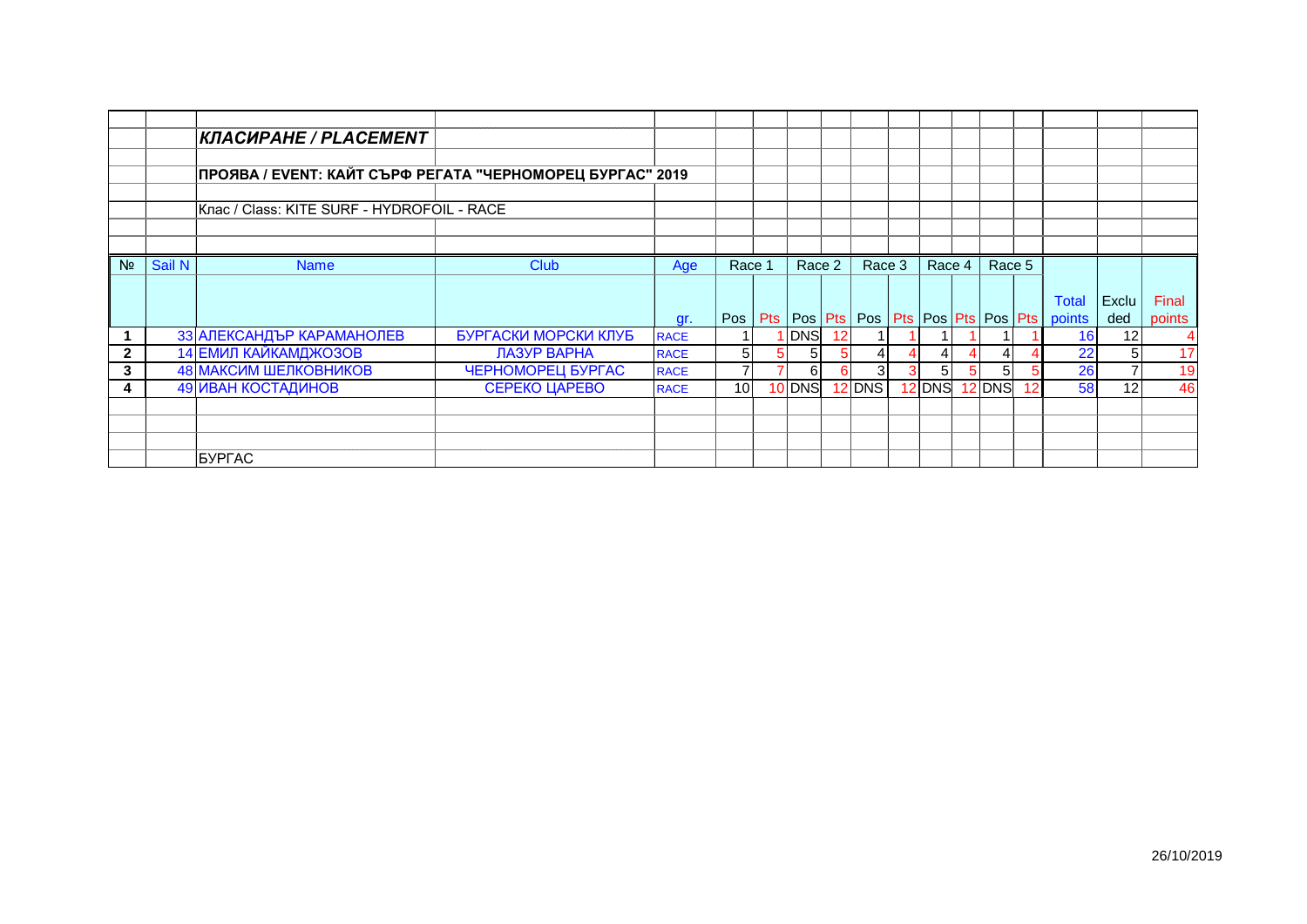|                |        | <b>КЛАСИРАНЕ / PLACEMENT</b>                              |                      |             |        |                |                 |          |   |               |        |    |                                                                                    |                |                 |
|----------------|--------|-----------------------------------------------------------|----------------------|-------------|--------|----------------|-----------------|----------|---|---------------|--------|----|------------------------------------------------------------------------------------|----------------|-----------------|
|                |        |                                                           |                      |             |        |                |                 |          |   |               |        |    |                                                                                    |                |                 |
|                |        | ПРОЯВА / EVENT: КАЙТ СЪРФ РЕГАТА "ЧЕРНОМОРЕЦ БУРГАС" 2019 |                      |             |        |                |                 |          |   |               |        |    |                                                                                    |                |                 |
|                |        | Клас / Class: KITE SURF - HYDROFOIL - RACE                |                      |             |        |                |                 |          |   |               |        |    |                                                                                    |                |                 |
|                |        |                                                           |                      |             |        |                |                 |          |   |               |        |    |                                                                                    |                |                 |
| N <sub>2</sub> | Sail N | <b>Name</b>                                               | <b>Club</b>          | Age         | Race 1 | Race 2         |                 | Race 3   |   | Race $4 \mid$ | Race 5 |    |                                                                                    |                |                 |
|                |        |                                                           |                      | gr.         |        |                |                 |          |   |               |        |    | <b>Total</b><br>Pos   Pts   Pos   Pts   Pos   Pts   Pos   Pts   Pos   Pts   points | Exclu<br>ded   | Final<br>points |
|                |        | 33 АЛЕКСАНДЪР КАРАМАНОЛЕВ                                 | БУРГАСКИ МОРСКИ КЛУБ | <b>RACE</b> |        | I DNS          | 12 <sup>1</sup> |          |   |               |        |    | 16I                                                                                | 12             | 4               |
| $\mathbf{2}$   |        | 14 ЕМИЛ КАЙКАМДЖОЗОВ                                      | ЛАЗУР ВАРНА          | <b>RACE</b> | 5      | 5 <sub>l</sub> |                 |          |   |               |        |    | 22                                                                                 | 51             | 17              |
| 3              |        | 48 МАКСИМ ШЕЛКОВНИКОВ                                     | ЧЕРНОМОРЕЦ БУРГАС    | <b>RACE</b> |        | 6              |                 | 31       | 3 | 5             | 5      |    | 26                                                                                 | $\overline{7}$ | 19              |
| 4              |        | 49 ИВАН КОСТАДИНОВ                                        | <b>СЕРЕКО ЦАРЕВО</b> | <b>RACE</b> | 10     | 10 DNS         |                 | $12$ DNS |   | 12 DNS        | 12 DNS | 12 | 58                                                                                 | 12             | 46              |
|                |        |                                                           |                      |             |        |                |                 |          |   |               |        |    |                                                                                    |                |                 |
|                |        |                                                           |                      |             |        |                |                 |          |   |               |        |    |                                                                                    |                |                 |
|                |        |                                                           |                      |             |        |                |                 |          |   |               |        |    |                                                                                    |                |                 |
|                |        | <b>BYPFAC</b>                                             |                      |             |        |                |                 |          |   |               |        |    |                                                                                    |                |                 |